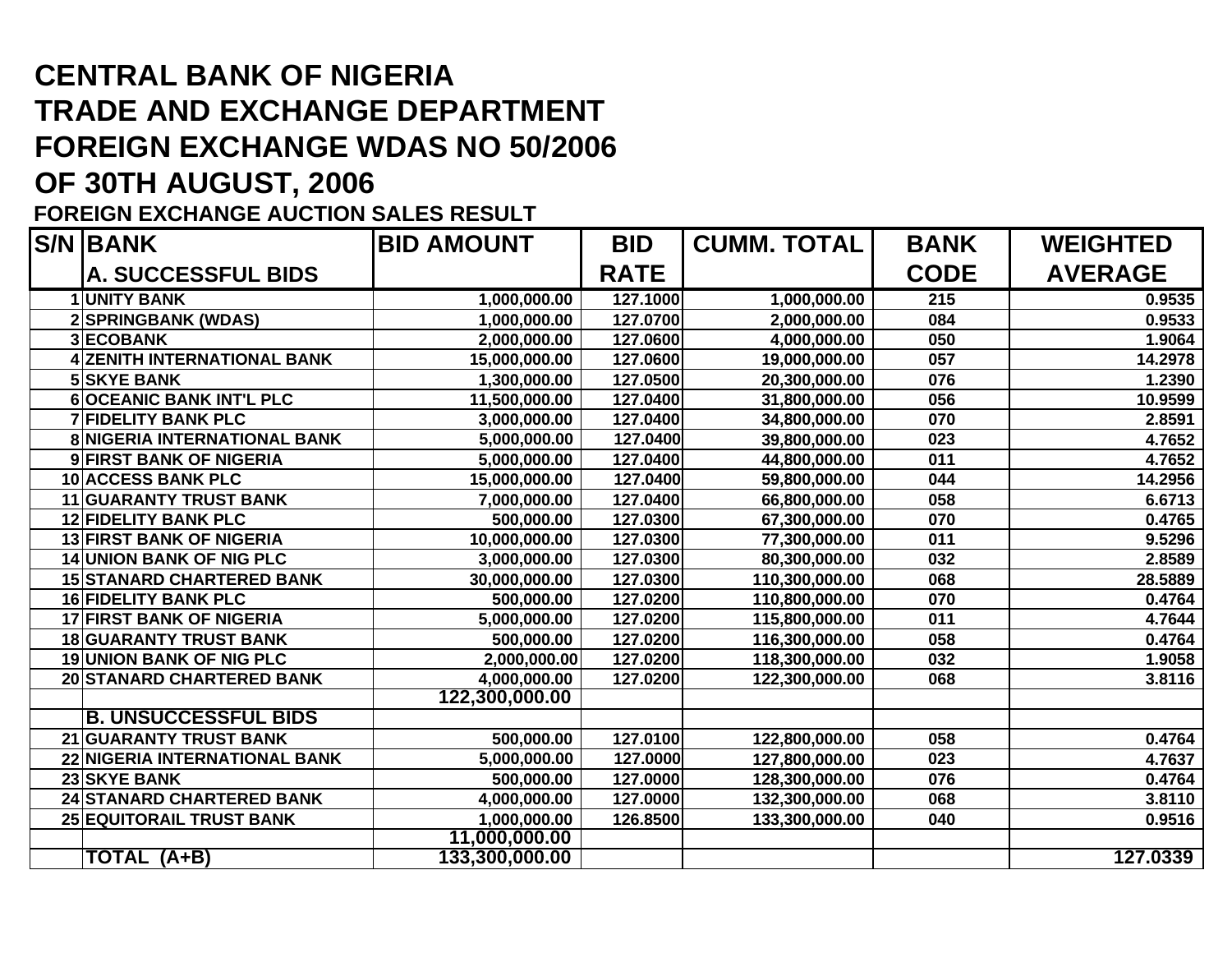# **CENTRAL BANK OF NIGERIA TRADE AND EXCHANGE DEPARTMENT FOREIGN EXCHANGE WDAS NO 50/2006**

## **OF 30TH AUGUST, 2006**

#### **FOREIGN EXCHANGE AUCTION SALES RESULT**

| <b>S/N BANK</b>                     | <b>BID AMOUNT</b> | <b>BID</b>  | <b>CUMM. TOTAL</b> | <b>BANK</b> | <b>WEIGHTED</b> |
|-------------------------------------|-------------------|-------------|--------------------|-------------|-----------------|
| A. SUCCESSFUL BIDS                  |                   | <b>RATE</b> |                    | <b>CODE</b> | <b>AVERAGE</b>  |
| <b>UNITY BANK</b>                   | 1,000,000.00      | 127.1000    | 1,000,000.00       | 215         | 0.9535          |
| 2 SPRINGBANK (WDAS)                 | 1,000,000.00      | 127.0700    | 2,000,000.00       | 084         | 0.9533          |
| <b>3 ECOBANK</b>                    | 2,000,000.00      | 127.0600    | 4,000,000.00       | 050         | 1.9064          |
| <b>4 ZENITH INTERNATIONAL BANK</b>  | 15,000,000.00     | 127.0600    | 19,000,000.00      | 057         | 14.2978         |
| <b>5 SKYE BANK</b>                  | 1,300,000.00      | 127.0500    | 20,300,000.00      | 076         | 1.2390          |
| <b>6OCEANIC BANK INT'L PLC</b>      | 11,500,000.00     | 127.0400    | 31,800,000.00      | 056         | 10.9599         |
| <b>7 FIDELITY BANK PLC</b>          | 3,000,000.00      | 127.0400    | 34,800,000.00      | 070         | 2.8591          |
| <b>8 NIGERIA INTERNATIONAL BANK</b> | 5,000,000.00      | 127.0400    | 39,800,000.00      | 023         | 4.7652          |
| 9 FIRST BANK OF NIGERIA             | 5,000,000.00      | 127.0400    | 44,800,000.00      | 011         | 4.7652          |
| 10 ACCESS BANK PLC                  | 15,000,000.00     | 127.0400    | 59,800,000.00      | 044         | 14.2956         |
| <b>11 GUARANTY TRUST BANK</b>       | 7,000,000.00      | 127.0400    | 66,800,000.00      | 058         | 6.6713          |
| <b>12 FIDELITY BANK PLC</b>         | 500,000.00        | 127.0300    | 67,300,000.00      | 070         | 0.4765          |
| <b>13 FIRST BANK OF NIGERIA</b>     | 10,000,000.00     | 127.0300    | 77,300,000.00      | 011         | 9.5296          |
| <b>14 UNION BANK OF NIG PLC</b>     | 3,000,000.00      | 127.0300    | 80,300,000.00      | 032         | 2.8589          |
| <b>15 STANARD CHARTERED BANK</b>    | 30,000,000.00     | 127.0300    | 110,300,000.00     | 068         | 28.5889         |
| <b>16 FIDELITY BANK PLC</b>         | 500,000.00        | 127.0200    | 110,800,000.00     | 070         | 0.4764          |
| 17 FIRST BANK OF NIGERIA            | 5,000,000.00      | 127.0200    | 115,800,000.00     | 011         | 4.7644          |
| <b>18 GUARANTY TRUST BANK</b>       | 500,000.00        | 127.0200    | 116,300,000.00     | 058         | 0.4764          |
| <b>19 UNION BANK OF NIG PLC</b>     | 2,000,000.00      | 127.0200    | 118,300,000.00     | 032         | 1.9058          |
| <b>20 STANARD CHARTERED BANK</b>    | 4,000,000.00      | 127.0200    | 122,300,000.00     | 068         | 3.8116          |
|                                     | 122,300,000.00    |             |                    |             |                 |
| <b>B. UNSUCCESSFUL BIDS</b>         |                   |             |                    |             |                 |
| 21 GUARANTY TRUST BANK              | 500,000.00        | 127.0100    | 122,800,000.00     | 058         | 0.4764          |
| 22 NIGERIA INTERNATIONAL BANK       | 5,000,000.00      | 127.0000    | 127,800,000.00     | 023         | 4.7637          |
| 23 SKYE BANK                        | 500,000.00        | 127.0000    | 128,300,000.00     | 076         | 0.4764          |
| 24 STANARD CHARTERED BANK           | 4,000,000.00      | 127.0000    | 132,300,000.00     | 068         | 3.8110          |
| <b>25 EQUITORAIL TRUST BANK</b>     | 1,000,000.00      | 126.8500    | 133,300,000.00     | 040         | 0.9516          |
|                                     | 11,000,000.00     |             |                    |             |                 |
| TOTAL (A+B)                         | 133,300,000.00    |             |                    |             | 127.0339        |